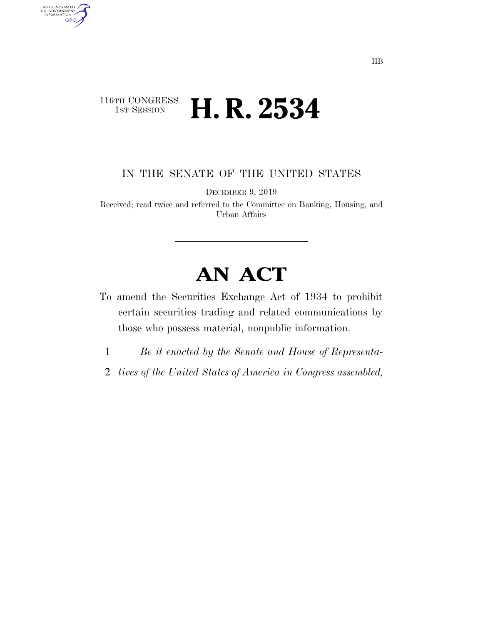## 116TH CONGRESS<br>1st Session **H. R. 2534**

AUTHENTICATED<br>U.S. GOVERNMENT<br>INFORMATION GPO

IN THE SENATE OF THE UNITED STATES

DECEMBER 9, 2019

Received; read twice and referred to the Committee on Banking, Housing, and Urban Affairs

# **AN ACT**

- To amend the Securities Exchange Act of 1934 to prohibit certain securities trading and related communications by those who possess material, nonpublic information.
	- 1 *Be it enacted by the Senate and House of Representa-*
- 2 *tives of the United States of America in Congress assembled,*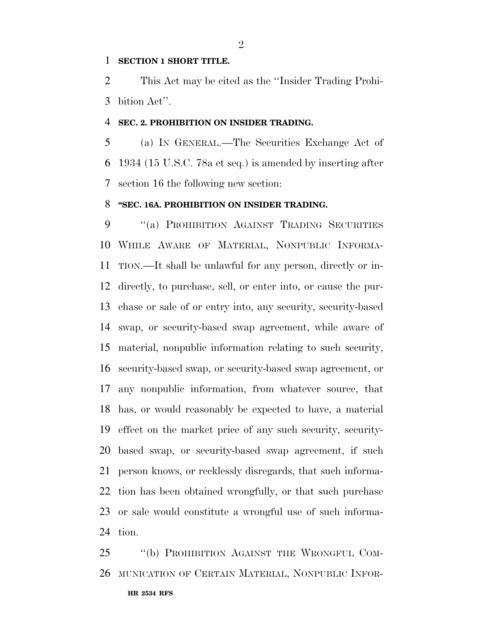#### **SECTION 1 SHORT TITLE.**

 This Act may be cited as the ''Insider Trading Prohi-bition Act''.

#### **SEC. 2. PROHIBITION ON INSIDER TRADING.**

 (a) IN GENERAL.—The Securities Exchange Act of 1934 (15 U.S.C. 78a et seq.) is amended by inserting after section 16 the following new section:

### **''SEC. 16A. PROHIBITION ON INSIDER TRADING.**

9 "(a) PROHIBITION AGAINST TRADING SECURITIES WHILE AWARE OF MATERIAL, NONPUBLIC INFORMA- TION.—It shall be unlawful for any person, directly or in- directly, to purchase, sell, or enter into, or cause the pur- chase or sale of or entry into, any security, security-based swap, or security-based swap agreement, while aware of material, nonpublic information relating to such security, security-based swap, or security-based swap agreement, or any nonpublic information, from whatever source, that has, or would reasonably be expected to have, a material effect on the market price of any such security, security- based swap, or security-based swap agreement, if such person knows, or recklessly disregards, that such informa- tion has been obtained wrongfully, or that such purchase or sale would constitute a wrongful use of such informa-tion.

**HR 2534 RFS** ''(b) PROHIBITION AGAINST THE WRONGFUL COM-MUNICATION OF CERTAIN MATERIAL, NONPUBLIC INFOR-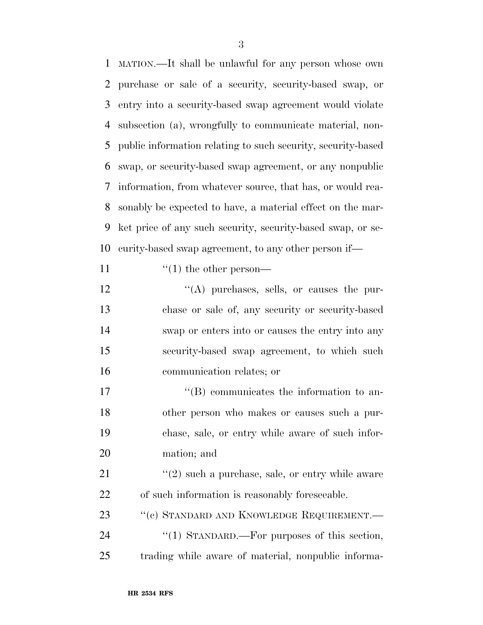MATION.—It shall be unlawful for any person whose own purchase or sale of a security, security-based swap, or entry into a security-based swap agreement would violate subsection (a), wrongfully to communicate material, non- public information relating to such security, security-based swap, or security-based swap agreement, or any nonpublic information, from whatever source, that has, or would rea- sonably be expected to have, a material effect on the mar- ket price of any such security, security-based swap, or se-curity-based swap agreement, to any other person if—

11  $\frac{1}{1}$  the other person—

 $\langle (A)$  purchases, sells, or causes the pur- chase or sale of, any security or security-based swap or enters into or causes the entry into any security-based swap agreement, to which such communication relates; or

 $\text{``(B) communicates the information to an-}$  other person who makes or causes such a pur- chase, sale, or entry while aware of such infor-mation; and

 ''(2) such a purchase, sale, or entry while aware of such information is reasonably foreseeable.

23 "(c) STANDARD AND KNOWLEDGE REQUIREMENT.— 24 "(1) STANDARD.—For purposes of this section, trading while aware of material, nonpublic informa-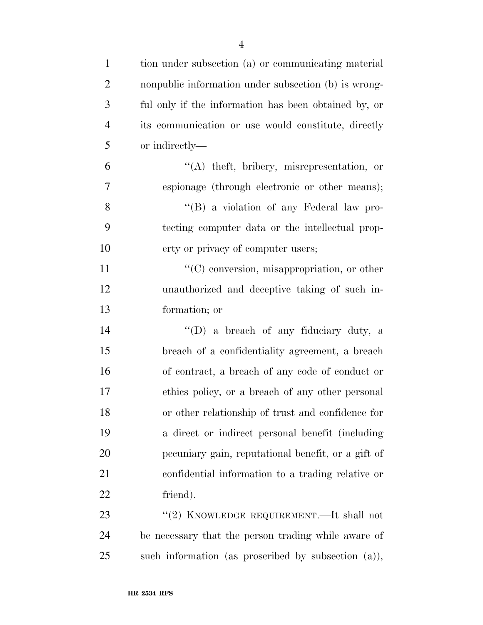| $\mathbf{1}$   | tion under subsection (a) or communicating material  |
|----------------|------------------------------------------------------|
| $\overline{2}$ | nonpublic information under subsection (b) is wrong- |
| 3              | ful only if the information has been obtained by, or |
| $\overline{4}$ | its communication or use would constitute, directly  |
| 5              | or indirectly—                                       |
| 6              | "(A) theft, bribery, misrepresentation, or           |
| 7              | espionage (through electronic or other means);       |
| 8              | "(B) a violation of any Federal law pro-             |
| 9              | teeting computer data or the intellectual prop-      |
| 10             | erty or privacy of computer users;                   |
| 11             | "(C) conversion, misappropriation, or other          |
| 12             | unauthorized and deceptive taking of such in-        |
| 13             | formation; or                                        |
| 14             | "(D) a breach of any fiduciary duty, a               |
| 15             | breach of a confidentiality agreement, a breach      |
| 16             | of contract, a breach of any code of conduct or      |
| $17\,$         | ethics policy, or a breach of any other personal     |
| 18             | or other relationship of trust and confidence for    |
| 19             | a direct or indirect personal benefit (including     |
| 20             | pecuniary gain, reputational benefit, or a gift of   |
| 21             | confidential information to a trading relative or    |
| 22             | friend).                                             |
| 23             | "(2) KNOWLEDGE REQUIREMENT.—It shall not             |
| 24             | be necessary that the person trading while aware of  |
| 25             | such information (as proscribed by subsection (a)),  |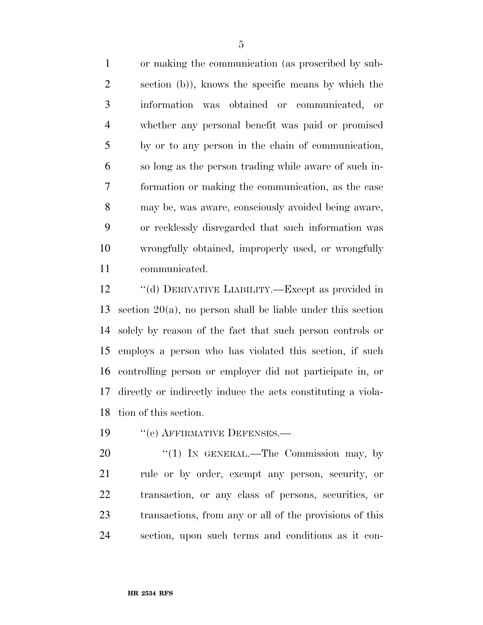or making the communication (as proscribed by sub- section (b)), knows the specific means by which the information was obtained or communicated, or whether any personal benefit was paid or promised by or to any person in the chain of communication, so long as the person trading while aware of such in- formation or making the communication, as the case may be, was aware, consciously avoided being aware, or recklessly disregarded that such information was wrongfully obtained, improperly used, or wrongfully communicated.

 ''(d) DERIVATIVE LIABILITY.—Except as provided in section 20(a), no person shall be liable under this section solely by reason of the fact that such person controls or employs a person who has violated this section, if such controlling person or employer did not participate in, or directly or indirectly induce the acts constituting a viola-tion of this section.

19 "(e) AFFIRMATIVE DEFENSES.—

20 "(1) IN GENERAL.—The Commission may, by rule or by order, exempt any person, security, or transaction, or any class of persons, securities, or transactions, from any or all of the provisions of this section, upon such terms and conditions as it con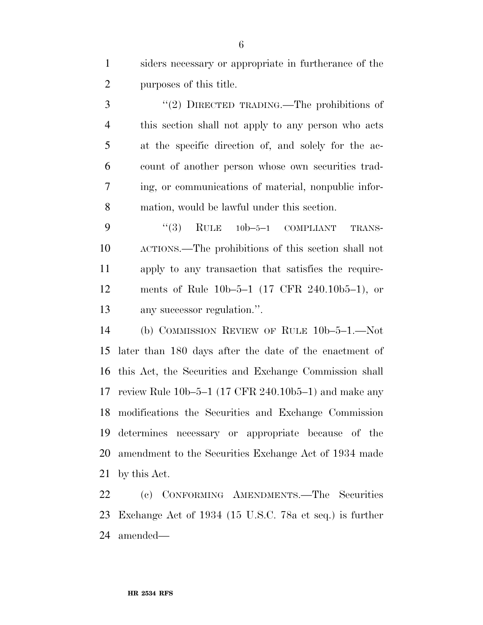siders necessary or appropriate in furtherance of the purposes of this title.

3 "(2) DIRECTED TRADING.—The prohibitions of this section shall not apply to any person who acts at the specific direction of, and solely for the ac- count of another person whose own securities trad- ing, or communications of material, nonpublic infor-mation, would be lawful under this section.

9 "(3) RULE 10b–5–1 COMPLIANT TRANS- ACTIONS.—The prohibitions of this section shall not apply to any transaction that satisfies the require- ments of Rule 10b–5–1 (17 CFR 240.10b5–1), or any successor regulation.''.

 (b) COMMISSION REVIEW OF RULE 10b–5–1.—Not later than 180 days after the date of the enactment of this Act, the Securities and Exchange Commission shall review Rule 10b–5–1 (17 CFR 240.10b5–1) and make any modifications the Securities and Exchange Commission determines necessary or appropriate because of the amendment to the Securities Exchange Act of 1934 made by this Act.

 (c) CONFORMING AMENDMENTS.—The Securities Exchange Act of 1934 (15 U.S.C. 78a et seq.) is further amended—